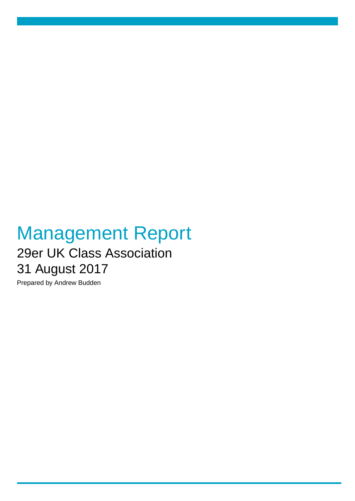## Management Report 29er UK Class Association 31 August 2017

Prepared by Andrew Budden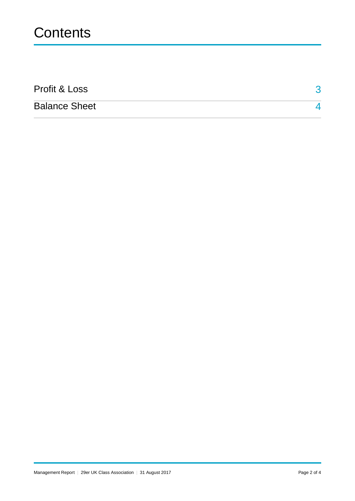## **Contents**

| Profit & Loss        |  |
|----------------------|--|
| <b>Balance Sheet</b> |  |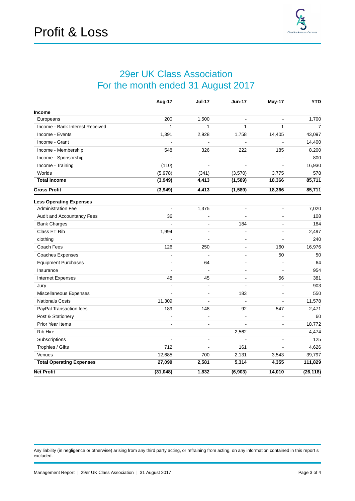## 29er UK Class Association For the month ended 31 August 2017

<span id="page-2-0"></span>

|                                 | Aug-17         | <b>Jul-17</b>  | <b>Jun-17</b>            | May-17                   | <b>YTD</b>     |
|---------------------------------|----------------|----------------|--------------------------|--------------------------|----------------|
| <b>Income</b>                   |                |                |                          |                          |                |
| Europeans                       | 200            | 1,500          | $\blacksquare$           | $\blacksquare$           | 1,700          |
| Income - Bank Interest Received | $\mathbf{1}$   | $\mathbf{1}$   | $\mathbf{1}$             | 1                        | $\overline{7}$ |
| Income - Events                 | 1,391          | 2,928          | 1,758                    | 14,405                   | 43,097         |
| Income - Grant                  |                | L,             | $\overline{a}$           | L.                       | 14,400         |
| Income - Membership             | 548            | 326            | 222                      | 185                      | 8,200          |
| Income - Sponsorship            |                | ÷,             | L,                       | $\blacksquare$           | 800            |
| Income - Training               | (110)          | $\overline{a}$ | $\overline{a}$           |                          | 16,930         |
| Worlds                          | (5,978)        | (341)          | (3,570)                  | 3,775                    | 578            |
| <b>Total Income</b>             | (3,949)        | 4,413          | (1, 589)                 | 18,366                   | 85,711         |
| <b>Gross Profit</b>             | (3,949)        | 4,413          | (1, 589)                 | 18,366                   | 85,711         |
| <b>Less Operating Expenses</b>  |                |                |                          |                          |                |
| <b>Administration Fee</b>       |                | 1,375          | L.                       | $\blacksquare$           | 7,020          |
| Audit and Accountancy Fees      | 36             | L,             | $\overline{a}$           | $\sim$                   | 108            |
| <b>Bank Charges</b>             | $\overline{a}$ | ä,             | 184                      | $\blacksquare$           | 184            |
| Class ET Rib                    | 1,994          | L,             | $\blacksquare$           | $\blacksquare$           | 2,497          |
| clothing                        |                | $\overline{a}$ | $\overline{a}$           | $\overline{a}$           | 240            |
| Coach Fees                      | 126            | 250            | $\sim$                   | 160                      | 16,976         |
| <b>Coaches Expenses</b>         | $\blacksquare$ | $\blacksquare$ | $\blacksquare$           | 50                       | 50             |
| <b>Equipment Purchases</b>      | ÷.             | 64             | $\blacksquare$           | $\tilde{\phantom{a}}$    | 64             |
| Insurance                       | $\overline{a}$ | $\overline{a}$ | $\blacksquare$           | $\blacksquare$           | 954            |
| Internet Expenses               | 48             | 45             | $\overline{\phantom{a}}$ | 56                       | 381            |
| Jury                            | L.             | $\overline{a}$ | $\blacksquare$           | $\blacksquare$           | 903            |
| Miscellaneous Expenses          |                | ÷,             | 183                      | $\blacksquare$           | 550            |
| <b>Nationals Costs</b>          | 11,309         | ÷,             | $\overline{a}$           | $\blacksquare$           | 11,578         |
| PayPal Transaction fees         | 189            | 148            | 92                       | 547                      | 2,471          |
| Post & Stationery               |                | ÷,             | $\overline{a}$           | L.                       | 60             |
| Prior Year Items                | $\blacksquare$ | ÷              | $\overline{a}$           | $\overline{\phantom{a}}$ | 18,772         |
| <b>Rib Hire</b>                 | $\blacksquare$ | $\overline{a}$ | 2,562                    | $\blacksquare$           | 4,474          |
| Subscriptions                   | $\blacksquare$ | ä,             |                          | $\sim$                   | 125            |
| Trophies / Gifts                | 712            | $\overline{a}$ | 161                      | $\blacksquare$           | 4,626          |
| Venues                          | 12,685         | 700            | 2,131                    | 3,543                    | 39,797         |
| <b>Total Operating Expenses</b> | 27,099         | 2,581          | 5,314                    | 4,355                    | 111,829        |
| <b>Net Profit</b>               | (31, 048)      | 1,832          | (6, 903)                 | 14,010                   | (26, 118)      |

Any liability (in negligence or otherwise) arising from any third party acting, or refraining from acting, on any information contained in this report s excluded.